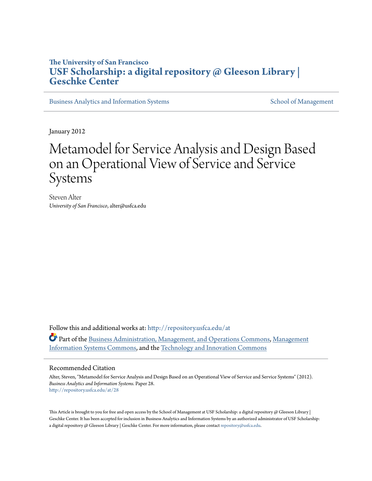# **The University of San Francisco [USF Scholarship: a digital repository @ Gleeson Library |](http://repository.usfca.edu?utm_source=repository.usfca.edu%2Fat%2F28&utm_medium=PDF&utm_campaign=PDFCoverPages) [Geschke Center](http://repository.usfca.edu?utm_source=repository.usfca.edu%2Fat%2F28&utm_medium=PDF&utm_campaign=PDFCoverPages)**

[Business Analytics and Information Systems](http://repository.usfca.edu/at?utm_source=repository.usfca.edu%2Fat%2F28&utm_medium=PDF&utm_campaign=PDFCoverPages) [School of Management](http://repository.usfca.edu/management?utm_source=repository.usfca.edu%2Fat%2F28&utm_medium=PDF&utm_campaign=PDFCoverPages) School of Management

January 2012

# Metamodel for Service Analysis and Design Based on an Operational View of Service and Service Systems

Steven Alter *University of San Francisco*, alter@usfca.edu

Follow this and additional works at: [http://repository.usfca.edu/at](http://repository.usfca.edu/at?utm_source=repository.usfca.edu%2Fat%2F28&utm_medium=PDF&utm_campaign=PDFCoverPages) Part of the [Business Administration, Management, and Operations Commons](http://network.bepress.com/hgg/discipline/623?utm_source=repository.usfca.edu%2Fat%2F28&utm_medium=PDF&utm_campaign=PDFCoverPages), [Management](http://network.bepress.com/hgg/discipline/636?utm_source=repository.usfca.edu%2Fat%2F28&utm_medium=PDF&utm_campaign=PDFCoverPages) [Information Systems Commons](http://network.bepress.com/hgg/discipline/636?utm_source=repository.usfca.edu%2Fat%2F28&utm_medium=PDF&utm_campaign=PDFCoverPages), and the [Technology and Innovation Commons](http://network.bepress.com/hgg/discipline/644?utm_source=repository.usfca.edu%2Fat%2F28&utm_medium=PDF&utm_campaign=PDFCoverPages)

#### Recommended Citation

Alter, Steven, "Metamodel for Service Analysis and Design Based on an Operational View of Service and Service Systems" (2012). *Business Analytics and Information Systems.* Paper 28. [http://repository.usfca.edu/at/28](http://repository.usfca.edu/at/28?utm_source=repository.usfca.edu%2Fat%2F28&utm_medium=PDF&utm_campaign=PDFCoverPages)

This Article is brought to you for free and open access by the School of Management at USF Scholarship: a digital repository  $\varnothing$  Gleeson Library | Geschke Center. It has been accepted for inclusion in Business Analytics and Information Systems by an authorized administrator of USF Scholarship: a digital repository @ Gleeson Library | Geschke Center. For more information, please contact [repository@usfca.edu.](mailto:repository@usfca.edu)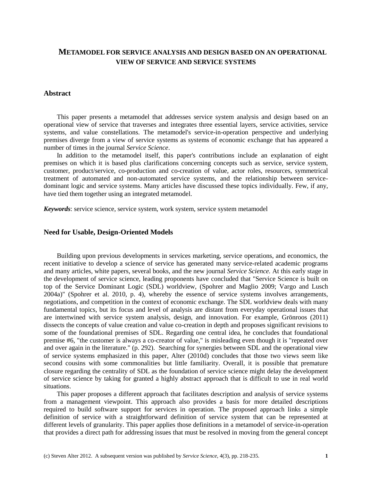# **METAMODEL FOR SERVICE ANALYSIS AND DESIGN BASED ON AN OPERATIONAL VIEW OF SERVICE AND SERVICE SYSTEMS**

#### **Abstract**

This paper presents a metamodel that addresses service system analysis and design based on an operational view of service that traverses and integrates three essential layers, service activities, service systems, and value constellations. The metamodel's service-in-operation perspective and underlying premises diverge from a view of service systems as systems of economic exchange that has appeared a number of times in the journal *Service Science*.

In addition to the metamodel itself, this paper's contributions include an explanation of eight premises on which it is based plus clarifications concerning concepts such as service, service system, customer, product/service, co-production and co-creation of value, actor roles, resources, symmetrical treatment of automated and non-automated service systems, and the relationship between servicedominant logic and service systems. Many articles have discussed these topics individually. Few, if any, have tied them together using an integrated metamodel.

*Keywords*: service science, service system, work system, service system metamodel

#### **Need for Usable, Design-Oriented Models**

Building upon previous developments in services marketing, service operations, and economics, the recent initiative to develop a science of service has generated many service-related academic programs and many articles, white papers, several books, and the new journal *Service Science.* At this early stage in the development of service science, leading proponents have concluded that "Service Science is built on top of the Service Dominant Logic (SDL) worldview, (Spohrer and Maglio 2009; Vargo and Lusch 2004a)" (Spohrer et al. 2010, p. 4), whereby the essence of service systems involves arrangements, negotiations, and competition in the context of economic exchange. The SDL worldview deals with many fundamental topics, but its focus and level of analysis are distant from everyday operational issues that are intertwined with service system analysis, design, and innovation. For example, Grönroos (2011) dissects the concepts of value creation and value co-creation in depth and proposes significant revisions to some of the foundational premises of SDL. Regarding one central idea, he concludes that foundational premise #6, "the customer is always a co-creator of value," is misleading even though it is "repeated over and over again in the literature." (p. 292). Searching for synergies between SDL and the operational view of service systems emphasized in this paper, Alter (2010d) concludes that those two views seem like second cousins with some commonalities but little familiarity. Overall, it is possible that premature closure regarding the centrality of SDL as the foundation of service science might delay the development of service science by taking for granted a highly abstract approach that is difficult to use in real world situations.

This paper proposes a different approach that facilitates description and analysis of service systems from a management viewpoint. This approach also provides a basis for more detailed descriptions required to build software support for services in operation. The proposed approach links a simple definition of service with a straightforward definition of service system that can be represented at different levels of granularity. This paper applies those definitions in a metamodel of service-in-operation that provides a direct path for addressing issues that must be resolved in moving from the general concept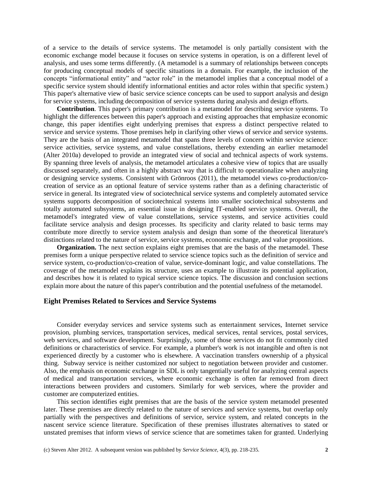of a service to the details of service systems. The metamodel is only partially consistent with the economic exchange model because it focuses on service systems in operation, is on a different level of analysis, and uses some terms differently. (A metamodel is a summary of relationships between concepts for producing conceptual models of specific situations in a domain. For example, the inclusion of the concepts "informational entity" and "actor role" in the metamodel implies that a conceptual model of a specific service system should identify informational entities and actor roles within that specific system.) This paper's alternative view of basic service science concepts can be used to support analysis and design for service systems, including decomposition of service systems during analysis and design efforts.

**Contribution**. This paper's primary contribution is a metamodel for describing service systems. To highlight the differences between this paper's approach and existing approaches that emphasize economic change, this paper identifies eight underlying premises that express a distinct perspective related to service and service systems. Those premises help in clarifying other views of service and service systems. They are the basis of an integrated metamodel that spans three levels of concern within service science: service activities, service systems, and value constellations, thereby extending an earlier metamodel (Alter 2010a) developed to provide an integrated view of social and technical aspects of work systems. By spanning three levels of analysis, the metamodel articulates a cohesive view of topics that are usually discussed separately, and often in a highly abstract way that is difficult to operationalize when analyzing or designing service systems. Consistent with Grönroos (2011), the metamodel views co-production/cocreation of service as an optional feature of service systems rather than as a defining characteristic of service in general. Its integrated view of sociotechnical service systems and completely automated service systems supports decomposition of sociotechnical systems into smaller sociotechnical subsystems and totally automated subsystems, an essential issue in designing IT-enabled service systems. Overall, the metamodel's integrated view of value constellations, service systems, and service activities could facilitate service analysis and design processes. Its specificity and clarity related to basic terms may contribute more directly to service system analysis and design than some of the theoretical literature's distinctions related to the nature of service, service systems, economic exchange, and value propositions.

**Organization.** The next section explains eight premises that are the basis of the metamodel. These premises form a unique perspective related to service science topics such as the definition of service and service system, co-production/co-creation of value, service-dominant logic, and value constellations. The coverage of the metamodel explains its structure, uses an example to illustrate its potential application, and describes how it is related to typical service science topics. The discussion and conclusion sections explain more about the nature of this paper's contribution and the potential usefulness of the metamodel.

#### **Eight Premises Related to Services and Service Systems**

Consider everyday services and service systems such as entertainment services, Internet service provision, plumbing services, transportation services, medical services, rental services, postal services, web services, and software development. Surprisingly, some of those services do not fit commonly cited definitions or characteristics of service. For example, a plumber's work is not intangible and often is not experienced directly by a customer who is elsewhere. A vaccination transfers ownership of a physical thing. Subway service is neither customized nor subject to negotiation between provider and customer. Also, the emphasis on economic exchange in SDL is only tangentially useful for analyzing central aspects of medical and transportation services, where economic exchange is often far removed from direct interactions between providers and customers. Similarly for web services, where the provider and customer are computerized entities.

This section identifies eight premises that are the basis of the service system metamodel presented later. These premises are directly related to the nature of services and service systems, but overlap only partially with the perspectives and definitions of service, service system, and related concepts in the nascent service science literature. Specification of these premises illustrates alternatives to stated or unstated premises that inform views of service science that are sometimes taken for granted. Underlying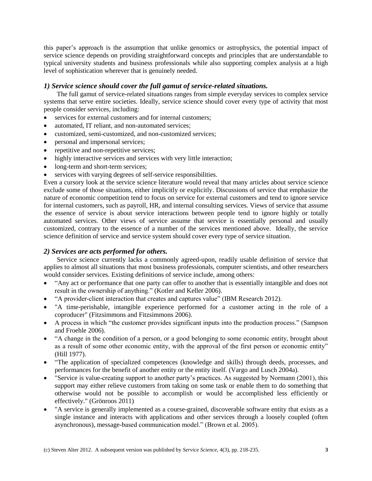this paper's approach is the assumption that unlike genomics or astrophysics, the potential impact of service science depends on providing straightforward concepts and principles that are understandable to typical university students and business professionals while also supporting complex analysis at a high level of sophistication wherever that is genuinely needed.

# *1) Service science should cover the full gamut of service-related situations.*

The full gamut of service-related situations ranges from simple everyday services to complex service systems that serve entire societies. Ideally, service science should cover every type of activity that most people consider services, including:

- services for external customers and for internal customers;
- automated, IT reliant, and non-automated services;
- customized, semi-customized, and non-customized services;
- personal and impersonal services;
- repetitive and non-repetitive services;
- highly interactive services and services with very little interaction;
- long-term and short-term services;
- services with varying degrees of self-service responsibilities.

Even a cursory look at the service science literature would reveal that many articles about service science exclude some of those situations, either implicitly or explicitly. Discussions of service that emphasize the nature of economic competition tend to focus on service for external customers and tend to ignore service for internal customers, such as payroll, HR, and internal consulting services. Views of service that assume the essence of service is about service interactions between people tend to ignore highly or totally automated services. Other views of service assume that service is essentially personal and usually customized, contrary to the essence of a number of the services mentioned above. Ideally, the service science definition of service and service system should cover every type of service situation.

### *2) Services are acts performed for others.*

Service science currently lacks a commonly agreed-upon, readily usable definition of service that applies to almost all situations that most business professionals, computer scientists, and other researchers would consider services. Existing definitions of service include, among others:

- "Any act or performance that one party can offer to another that is essentially intangible and does not result in the ownership of anything." (Kotler and Keller 2006).
- "A provider-client interaction that creates and captures value" (IBM Research 2012).
- "A time-perishable, intangible experience performed for a customer acting in the role of a coproducer" (Fitzsimmons and Fitzsimmons 2006).
- A process in which "the customer provides significant inputs into the production process." (Sampson and Froehle 2006).
- "A change in the condition of a person, or a good belonging to some economic entity, brought about as a result of some other economic entity, with the approval of the first person or economic entity" (Hill 1977).
- "The application of specialized competences (knowledge and skills) through deeds, processes, and performances for the benefit of another entity or the entity itself. (Vargo and Lusch 2004a).
- "Service is value-creating support to another party's practices. As suggested by Normann (2001), this support may either relieve customers from taking on some task or enable them to do something that otherwise would not be possible to accomplish or would be accomplished less efficiently or effectively." (Grönroos 2011)
- "A service is generally implemented as a course-grained, discoverable software entity that exists as a single instance and interacts with applications and other services through a loosely coupled (often asynchronous), message-based communication model." (Brown et al. 2005).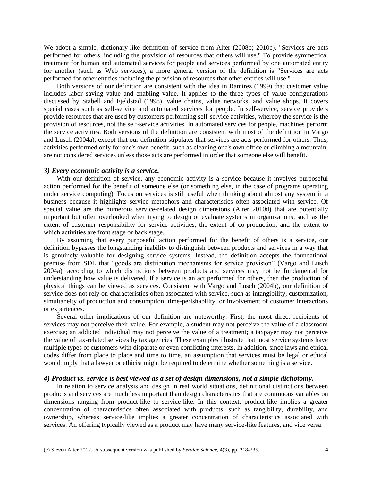We adopt a simple, dictionary-like definition of service from Alter (2008b; 2010c). "Services are acts performed for others, including the provision of resources that others will use." To provide symmetrical treatment for human and automated services for people and services performed by one automated entity for another (such as Web services), a more general version of the definition is "Services are acts performed for other entities including the provision of resources that other entities will use."

Both versions of our definition are consistent with the idea in Ramirez (1999) that customer value includes labor saving value and enabling value. It applies to the three types of value configurations discussed by Stabell and Fjeldstad (1998), value chains, value networks, and value shops. It covers special cases such as self-service and automated services for people. In self-service, service providers provide resources that are used by customers performing self-service activities, whereby the service is the provision of resources, not the self-service activities. In automated services for people, machines perform the service activities. Both versions of the definition are consistent with most of the definition in Vargo and Lusch (2004a), except that our definition stipulates that services are acts performed for others. Thus, activities performed only for one's own benefit, such as cleaning one's own office or climbing a mountain, are not considered services unless those acts are performed in order that someone else will benefit.

#### *3) Every economic activity is a service.*

With our definition of service, any economic activity is a service because it involves purposeful action performed for the benefit of someone else (or something else, in the case of programs operating under service computing). Focus on services is still useful when thinking about almost any system in a business because it highlights service metaphors and characteristics often associated with service. Of special value are the numerous service-related design dimensions (Alter 2010d) that are potentially important but often overlooked when trying to design or evaluate systems in organizations, such as the extent of customer responsibility for service activities, the extent of co-production, and the extent to which activities are front stage or back stage.

By assuming that every purposeful action performed for the benefit of others is a service, our definition bypasses the longstanding inability to distinguish between products and services in a way that is genuinely valuable for designing service systems. Instead, the definition accepts the foundational premise from SDL that "goods are distribution mechanisms for service provision" (Vargo and Lusch 2004a), according to which distinctions between products and services may not be fundamental for understanding how value is delivered. If a service is an act performed for others, then the production of physical things can be viewed as services. Consistent with Vargo and Lusch (2004b), our definition of service does not rely on characteristics often associated with service, such as intangibility, customization, simultaneity of production and consumption, time-perishability, or involvement of customer interactions or experiences.

Several other implications of our definition are noteworthy. First, the most direct recipients of services may not perceive their value. For example, a student may not perceive the value of a classroom exercise; an addicted individual may not perceive the value of a treatment; a taxpayer may not perceive the value of tax-related services by tax agencies. These examples illustrate that most service systems have multiple types of customers with disparate or even conflicting interests. In addition, since laws and ethical codes differ from place to place and time to time, an assumption that services must be legal or ethical would imply that a lawyer or ethicist might be required to determine whether something is a service.

#### *4) Product vs. service is best viewed as a set of design dimensions, not a simple dichotomy.*

In relation to service analysis and design in real world situations, definitional distinctions between products and services are much less important than design characteristics that are continuous variables on dimensions ranging from product-like to service-like. In this context, product-like implies a greater concentration of characteristics often associated with products, such as tangibility, durability, and ownership, whereas service-like implies a greater concentration of characteristics associated with services. An offering typically viewed as a product may have many service-like features, and vice versa.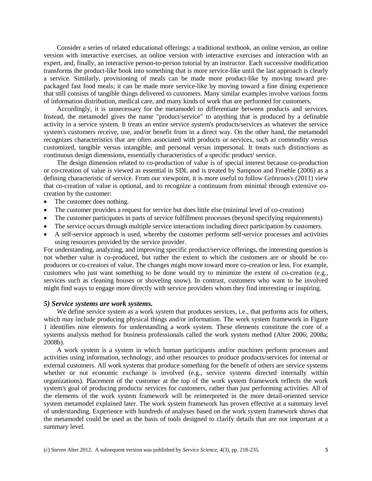Consider a series of related educational offerings: a traditional textbook, an online version, an online version with interactive exercises, an online version with interactive exercises and interaction with an expert, and, finally, an interactive person-to-person tutorial by an instructor. Each successive modification transforms the product-like book into something that is more service-like until the last approach is clearly a service. Similarly, provisioning of meals can be made more product-like by moving toward prepackaged fast food meals; it can be made more service-like by moving toward a fine dining experience that still consists of tangible things delivered to customers. Many similar examples involve various forms of information distribution, medical care, and many kinds of work that are performed for customers.

Accordingly, it is unnecessary for the metamodel to differentiate between products and services. Instead, the metamodel gives the name "product/service" to anything that is produced by a definable activity in a service system. It treats an entire service system's products/services as whatever the service system's customers receive, use, and/or benefit from in a direct way. On the other hand, the metamodel recognizes characteristics that are often associated with products or services, such as commodity versus customized, tangible versus intangible, and personal versus impersonal. It treats such distinctions as continuous design dimensions, essentially characteristics of a specific product/ service.

The design dimension related to co-production of value is of special interest because co-production or co-creation of value is viewed as essential in SDL and is treated by Sampson and Froehle (2006) as a defining characteristic of service. From our viewpoint, it is more useful to follow Grönroos's (2011) view that co-creation of value is optional, and to recognize a continuum from minimal through extensive cocreation by the customer:

- The customer does nothing.
- The customer provides a request for service but does little else (minimal level of co-creation)
- The customer participates in parts of service fulfillment processes (beyond specifying requirements)
- The service occurs through multiple service interactions including direct participation by customers.
- A self-service approach is used, whereby the customer performs self-service processes and activities using resources provided by the service provider.

For understanding, analyzing, and improving specific product/service offerings, the interesting question is not whether value is co-produced, but rather the extent to which the customers are or should be coproducers or co-creators of value. The changes might move toward more co-creation or less. For example, customers who just want something to be done would try to minimize the extent of co-creation (e.g., services such as cleaning houses or shoveling snow). In contrast, customers who want to be involved might find ways to engage more directly with service providers whom they find interesting or inspiring.

#### *5) Service systems are work systems.*

We define service system as a work system that produces services, i.e., that performs acts for others, which may include producing physical things and/or information. The work system framework in Figure 1 identifies nine elements for understanding a work system. These elements constitute the core of a systems analysis method for business professionals called the work system method (Alter 2006; 2008a; 2008b).

A work system is a system in which human participants and/or machines perform processes and activities using information, technology, and other resources to produce products/services for internal or external customers. All work systems that produce something for the benefit of others are service systems whether or not economic exchange is involved (e.g., service systems directed internally within organizations). Placement of the customer at the top of the work system framework reflects the work system's goal of producing products/ services for customers, rather than just performing activities. All of the elements of the work system framework will be reinterpreted in the more detail-oriented service system metamodel explained later. The work system framework has proven effective at a summary level of understanding. Experience with hundreds of analyses based on the work system framework shows that the metamodel could be used as the basis of tools designed to clarify details that are not important at a summary level.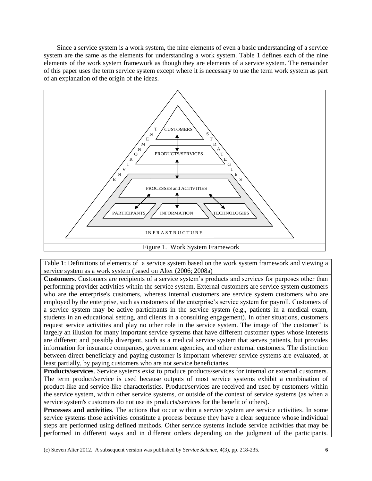Since a service system is a work system, the nine elements of even a basic understanding of a service system are the same as the elements for understanding a work system. Table 1 defines each of the nine elements of the work system framework as though they are elements of a service system. The remainder of this paper uses the term service system except where it is necessary to use the term work system as part of an explanation of the origin of the ideas.



Table 1: Definitions of elements of a service system based on the work system framework and viewing a service system as a work system (based on Alter (2006; 2008a)

**Customers**. Customers are recipients of a service system's products and services for purposes other than performing provider activities within the service system. External customers are service system customers who are the enterprise's customers, whereas internal customers are service system customers who are employed by the enterprise, such as customers of the enterprise's service system for payroll. Customers of a service system may be active participants in the service system (e.g., patients in a medical exam, students in an educational setting, and clients in a consulting engagement). In other situations, customers request service activities and play no other role in the service system. The image of "the customer" is largely an illusion for many important service systems that have different customer types whose interests are different and possibly divergent, such as a medical service system that serves patients, but provides information for insurance companies, government agencies, and other external customers. The distinction between direct beneficiary and paying customer is important wherever service systems are evaluated, at least partially, by paying customers who are not service beneficiaries.

**Products/services**. Service systems exist to produce products/services for internal or external customers. The term product/service is used because outputs of most service systems exhibit a combination of product-like and service-like characteristics. Product/services are received and used by customers within the service system, within other service systems, or outside of the context of service systems (as when a service system's customers do not use its products/services for the benefit of others).

**Processes and activities**. The actions that occur within a service system are service activities. In some service systems those activities constitute a process because they have a clear sequence whose individual steps are performed using defined methods. Other service systems include service activities that may be performed in different ways and in different orders depending on the judgment of the participants.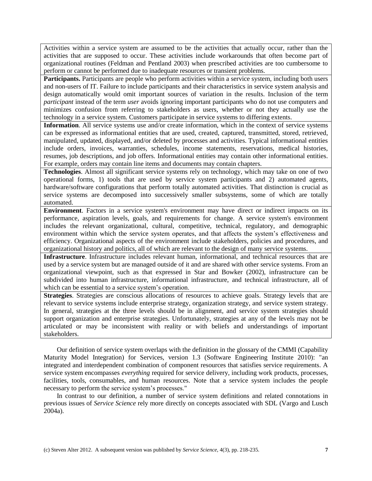Activities within a service system are assumed to be the activities that actually occur, rather than the activities that are supposed to occur. These activities include workarounds that often become part of organizational routines (Feldman and Pentland 2003) when prescribed activities are too cumbersome to perform or cannot be performed due to inadequate resources or transient problems.

**Participants.** Participants are people who perform activities within a service system, including both users and non-users of IT. Failure to include participants and their characteristics in service system analysis and design automatically would omit important sources of variation in the results. Inclusion of the term *participant* instead of the term *user* avoids ignoring important participants who do not use computers and minimizes confusion from referring to stakeholders as users, whether or not they actually use the technology in a service system. Customers participate in service systems to differing extents.

**Information**. All service systems use and/or create information, which in the context of service systems can be expressed as informational entities that are used, created, captured, transmitted, stored, retrieved, manipulated, updated, displayed, and/or deleted by processes and activities. Typical informational entities include orders, invoices, warranties, schedules, income statements, reservations, medical histories, resumes, job descriptions, and job offers. Informational entities may contain other informational entities. For example, orders may contain line items and documents may contain chapters.

**Technologies**. Almost all significant service systems rely on technology, which may take on one of two operational forms, 1) tools that are used by service system participants and 2) automated agents, hardware/software configurations that perform totally automated activities. That distinction is crucial as service systems are decomposed into successively smaller subsystems, some of which are totally automated.

**Environment**. Factors in a service system's environment may have direct or indirect impacts on its performance, aspiration levels, goals, and requirements for change. A service system's environment includes the relevant organizational, cultural, competitive, technical, regulatory, and demographic environment within which the service system operates, and that affects the system's effectiveness and efficiency. Organizational aspects of the environment include stakeholders, policies and procedures, and organizational history and politics, all of which are relevant to the design of many service systems.

**Infrastructure**. Infrastructure includes relevant human, informational, and technical resources that are used by a service system but are managed outside of it and are shared with other service systems. From an organizational viewpoint, such as that expressed in Star and Bowker (2002), infrastructure can be subdivided into human infrastructure, informational infrastructure, and technical infrastructure, all of which can be essential to a service system's operation.

**Strategies**. Strategies are conscious allocations of resources to achieve goals. Strategy levels that are relevant to service systems include enterprise strategy, organization strategy, and service system strategy. In general, strategies at the three levels should be in alignment, and service system strategies should support organization and enterprise strategies. Unfortunately, strategies at any of the levels may not be articulated or may be inconsistent with reality or with beliefs and understandings of important stakeholders.

Our definition of service system overlaps with the definition in the glossary of the CMMI (Capability Maturity Model Integration) for Services, version 1.3 (Software Engineering Institute 2010): "an integrated and interdependent combination of component resources that satisfies service requirements. A service system encompasses *everything* required for service delivery, including work products, processes, facilities, tools, consumables, and human resources. Note that a service system includes the people necessary to perform the service system's processes."

In contrast to our definition, a number of service system definitions and related connotations in previous issues of *Service Science* rely more directly on concepts associated with SDL (Vargo and Lusch 2004a).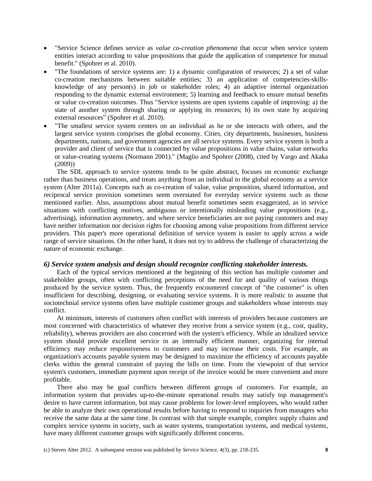- "Service Science defines service as *value co-creation phenomena* that occur when service system entities interact according to value propositions that guide the application of competence for mutual benefit." (Spohrer et al. 2010).
- "The foundations of service systems are: 1) a dynamic configuration of resources; 2) a set of value co-creation mechanisms between suitable entities; 3) an application of competencies-skillsknowledge of any person(s) in job or stakeholder roles; 4) an adaptive internal organization responding to the dynamic external environment; 5) learning and feedback to ensure mutual benefits or value co-creation outcomes. Thus "Service systems are open systems capable of improving: a) the state of another system through sharing or applying its resources; b) its own state by acquiring external resources" (Spohrer et al. 2010).
- "The smallest service system centers on an individual as he or she interacts with others, and the largest service system comprises the global economy. Cities, city departments, businesses, business departments, nations, and government agencies are all service systems. Every service system is both a provider and client of service that is connected by value propositions in value chains, value networks or value-creating systems (Normann 2001)." (Maglio and Spohrer (2008), cited by Vargo and Akaka (2009))

The SDL approach to service systems tends to be quite abstract, focuses on economic exchange rather than business operations, and treats anything from an individual to the global economy as a service system (Alter 2011a). Concepts such as co-creation of value, value proposition, shared information, and reciprocal service provision sometimes seem overstated for everyday service systems such as those mentioned earlier. Also, assumptions about mutual benefit sometimes seem exaggerated, as in service situations with conflicting motives, ambiguous or intentionally misleading value propositions (e.g., advertising), information asymmetry, and where service beneficiaries are not paying customers and may have neither information nor decision rights for choosing among value propositions from different service providers. This paper's more operational definition of service system is easier to apply across a wide range of service situations. On the other hand, it does not try to address the challenge of characterizing the nature of economic exchange.

#### *6) Service system analysis and design should recognize conflicting stakeholder interests.*

Each of the typical services mentioned at the beginning of this section has multiple customer and stakeholder groups, often with conflicting perceptions of the need for and quality of various things produced by the service system. Thus, the frequently encountered concept of "the customer" is often insufficient for describing, designing, or evaluating service systems. It is more realistic to assume that sociotechnial service systems often have multiple customer groups and stakeholders whose interests may conflict.

At minimum, interests of customers often conflict with interests of providers because customers are most concerned with characteristics of whatever they receive from a service system (e.g., cost, quality, reliability), whereas providers are also concerned with the system's efficiency. While an idealized service system should provide excellent service in an internally efficient manner, organizing for internal efficiency may reduce responsiveness to customers and may increase their costs. For example, an organization's accounts payable system may be designed to maximize the efficiency of accounts payable clerks within the general constraint of paying the bills on time. From the viewpoint of that service system's customers, immediate payment upon receipt of the invoice would be more convenient and more profitable.

There also may be goal conflicts between different groups of customers. For example, an information system that provides up-to-the-minute operational results may satisfy top management's desire to have current information, but may cause problems for lower-level employees, who would rather be able to analyze their own operational results before having to respond to inquiries from managers who receive the same data at the same time. In contrast with that simple example, complex supply chains and complex service systems in society, such as water systems, transportation systems, and medical systems, have many different customer groups with significantly different concerns.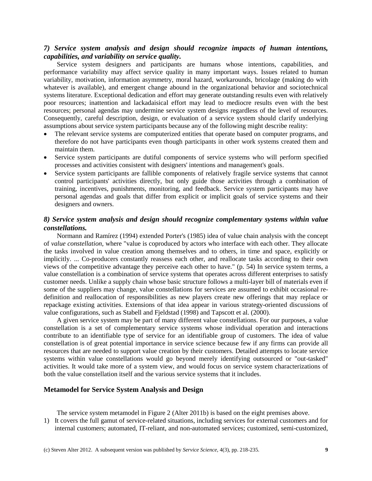# *7) Service system analysis and design should recognize impacts of human intentions, capabilities, and variability on service quality.*

Service system designers and participants are humans whose intentions, capabilities, and performance variability may affect service quality in many important ways. Issues related to human variability, motivation, information asymmetry, moral hazard, workarounds, bricolage (making do with whatever is available), and emergent change abound in the organizational behavior and sociotechnical systems literature. Exceptional dedication and effort may generate outstanding results even with relatively poor resources; inattention and lackadaisical effort may lead to mediocre results even with the best resources; personal agendas may undermine service system designs regardless of the level of resources. Consequently, careful description, design, or evaluation of a service system should clarify underlying assumptions about service system participants because any of the following might describe reality:

- The relevant service systems are computerized entities that operate based on computer programs, and therefore do not have participants even though participants in other work systems created them and maintain them.
- Service system participants are dutiful components of service systems who will perform specified processes and activities consistent with designers' intentions and management's goals.
- Service system participants are fallible components of relatively fragile service systems that cannot control participants' activities directly, but only guide those activities through a combination of training, incentives, punishments, monitoring, and feedback. Service system participants may have personal agendas and goals that differ from explicit or implicit goals of service systems and their designers and owners.

# *8) Service system analysis and design should recognize complementary systems within value constellations.*

Normann and Ramírez (1994) extended Porter's (1985) idea of value chain analysis with the concept of *value constellation*, where "value is coproduced by actors who interface with each other. They allocate the tasks involved in value creation among themselves and to others, in time and space, explicitly or implicitly. ... Co-producers constantly reassess each other, and reallocate tasks according to their own views of the competitive advantage they perceive each other to have." (p. 54) In service system terms, a value constellation is a combination of service systems that operates across different enterprises to satisfy customer needs. Unlike a supply chain whose basic structure follows a multi-layer bill of materials even if some of the suppliers may change, value constellations for services are assumed to exhibit occasional redefinition and reallocation of responsibilities as new players create new offerings that may replace or repackage existing activities. Extensions of that idea appear in various strategy-oriented discussions of value configurations, such as Stabell and Fjeldstad (1998) and Tapscott et al. (2000).

A given service system may be part of many different value constellations. For our purposes, a value constellation is a set of complementary service systems whose individual operation and interactions contribute to an identifiable type of service for an identifiable group of customers. The idea of value constellation is of great potential importance in service science because few if any firms can provide all resources that are needed to support value creation by their customers. Detailed attempts to locate service systems within value constellations would go beyond merely identifying outsourced or "out-tasked" activities. It would take more of a system view, and would focus on service system characterizations of both the value constellation itself and the various service systems that it includes.

# **Metamodel for Service System Analysis and Design**

The service system metamodel in Figure 2 (Alter 2011b) is based on the eight premises above.

1) It covers the full gamut of service-related situations, including services for external customers and for internal customers; automated, IT-reliant, and non-automated services; customized, semi-customized,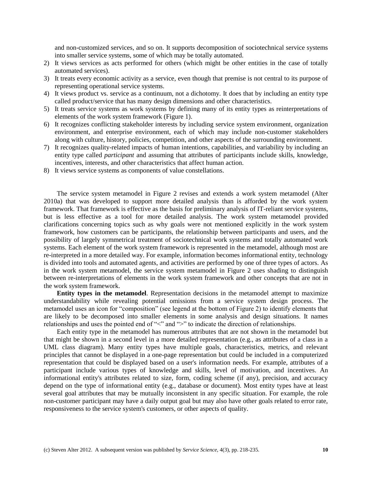and non-customized services, and so on. It supports decomposition of sociotechnical service systems into smaller service systems, some of which may be totally automated.

- 2) It views services as acts performed for others (which might be other entities in the case of totally automated services).
- 3) It treats every economic activity as a service, even though that premise is not central to its purpose of representing operational service systems.
- 4) It views product vs. service as a continuum, not a dichotomy. It does that by including an entity type called product/service that has many design dimensions and other characteristics.
- 5) It treats service systems as work systems by defining many of its entity types as reinterpretations of elements of the work system framework (Figure 1).
- 6) It recognizes conflicting stakeholder interests by including service system environment, organization environment, and enterprise environment, each of which may include non-customer stakeholders along with culture, history, policies, competition, and other aspects of the surrounding environment.
- 7) It recognizes quality-related impacts of human intentions, capabilities, and variability by including an entity type called *participant* and assuming that attributes of participants include skills, knowledge, incentives, interests, and other characteristics that affect human action.
- 8) It views service systems as components of value constellations.

The service system metamodel in Figure 2 revises and extends a work system metamodel (Alter 2010a) that was developed to support more detailed analysis than is afforded by the work system framework. That framework is effective as the basis for preliminary analysis of IT-reliant service systems, but is less effective as a tool for more detailed analysis. The work system metamodel provided clarifications concerning topics such as why goals were not mentioned explicitly in the work system framework, how customers can be participants, the relationship between participants and users, and the possibility of largely symmetrical treatment of sociotechnical work systems and totally automated work systems. Each element of the work system framework is represented in the metamodel, although most are re-interpreted in a more detailed way. For example, information becomes informational entity, technology is divided into tools and automated agents, and activities are performed by one of three types of actors. As in the work system metamodel, the service system metamodel in Figure 2 uses shading to distinguish between re-interpretations of elements in the work system framework and other concepts that are not in the work system framework.

**Entity types in the metamodel**. Representation decisions in the metamodel attempt to maximize understandability while revealing potential omissions from a service system design process. The metamodel uses an icon for "composition" (see legend at the bottom of Figure 2) to identify elements that are likely to be decomposed into smaller elements in some analysis and design situations. It names relationships and uses the pointed end of "<" and ">" to indicate the direction of relationships.

Each entity type in the metamodel has numerous attributes that are not shown in the metamodel but that might be shown in a second level in a more detailed representation (e.g., as attributes of a class in a UML class diagram). Many entity types have multiple goals, characteristics, metrics, and relevant principles that cannot be displayed in a one-page representation but could be included in a computerized representation that could be displayed based on a user's information needs. For example, attributes of a participant include various types of knowledge and skills, level of motivation, and incentives. An informational entity's attributes related to size, form, coding scheme (if any), precision, and accuracy depend on the type of informational entity (e.g., database or document). Most entity types have at least several goal attributes that may be mutually inconsistent in any specific situation. For example, the role non-customer participant may have a daily output goal but may also have other goals related to error rate, responsiveness to the service system's customers, or other aspects of quality.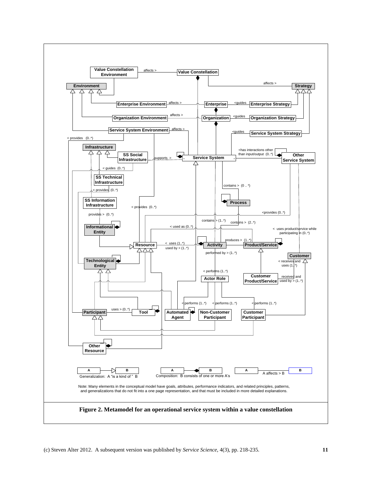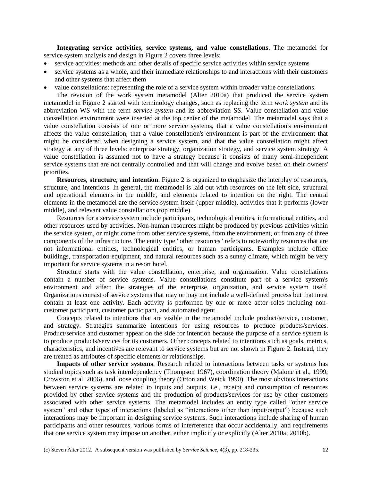**Integrating service activities, service systems, and value constellations**. The metamodel for service system analysis and design in Figure 2 covers three levels:

- service activities: methods and other details of specific service activities within service systems
- service systems as a whole, and their immediate relationships to and interactions with their customers and other systems that affect them
- value constellations: representing the role of a service system within broader value constellations.

The revision of the work system metamodel (Alter 2010a) that produced the service system metamodel in Figure 2 started with terminology changes, such as replacing the term *work system* and its abbreviation WS with the term *service system* and its abbreviation SS. Value constellation and value constellation environment were inserted at the top center of the metamodel. The metamodel says that a value constellation consists of one or more service systems, that a value constellation's environment affects the value constellation, that a value constellation's environment is part of the environment that might be considered when designing a service system, and that the value constellation might affect strategy at any of three levels: enterprise strategy, organization strategy, and service system strategy. A value constellation is assumed not to have a strategy because it consists of many semi-independent service systems that are not centrally controlled and that will change and evolve based on their owners' priorities.

**Resources, structure, and intention**. Figure 2 is organized to emphasize the interplay of resources, structure, and intentions. In general, the metamodel is laid out with resources on the left side, structural and operational elements in the middle, and elements related to intention on the right. The central elements in the metamodel are the service system itself (upper middle), activities that it performs (lower middle), and relevant value constellations (top middle).

Resources for a service system include participants, technological entities, informational entities, and other resources used by activities. Non-human resources might be produced by previous activities within the service system, or might come from other service systems, from the environment, or from any of three components of the infrastructure. The entity type "other resources" refers to noteworthy resources that are not informational entities, technological entities, or human participants. Examples include office buildings, transportation equipment, and natural resources such as a sunny climate, which might be very important for service systems in a resort hotel.

Structure starts with the value constellation, enterprise, and organization. Value constellations contain a number of service systems. Value constellations constitute part of a service system's environment and affect the strategies of the enterprise, organization, and service system itself. Organizations consist of service systems that may or may not include a well-defined process but that must contain at least one activity. Each activity is performed by one or more actor roles including noncustomer participant, customer participant, and automated agent.

Concepts related to intentions that are visible in the metamodel include product/service, customer, and strategy. Strategies summarize intentions for using resources to produce products/services. Product/service and customer appear on the side for intention because the purpose of a service system is to produce products/services for its customers. Other concepts related to intentions such as goals, metrics, characteristics, and incentives are relevant to service systems but are not shown in Figure 2. Instead, they are treated as attributes of specific elements or relationships.

**Impacts of other service systems**. Research related to interactions between tasks or systems has studied topics such as task interdependency (Thompson 1967), coordination theory (Malone et al., 1999; Crowston et al. 2006), and loose coupling theory (Orton and Weick 1990). The most obvious interactions between service systems are related to inputs and outputs, i.e., receipt and consumption of resources provided by other service systems and the production of products/services for use by other customers associated with other service systems. The metamodel includes an entity type called "other service system" and other types of interactions (labeled as "interactions other than input/output") because such interactions may be important in designing service systems. Such interactions include sharing of human participants and other resources, various forms of interference that occur accidentally, and requirements that one service system may impose on another, either implicitly or explicitly (Alter 2010a; 2010b).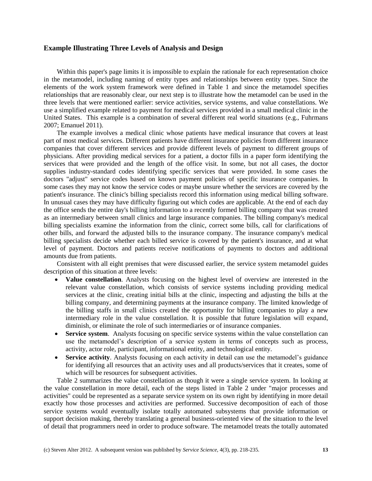#### **Example Illustrating Three Levels of Analysis and Design**

Within this paper's page limits it is impossible to explain the rationale for each representation choice in the metamodel, including naming of entity types and relationships between entity types. Since the elements of the work system framework were defined in Table 1 and since the metamodel specifies relationships that are reasonably clear, our next step is to illustrate how the metamodel can be used in the three levels that were mentioned earlier: service activities, service systems, and value constellations. We use a simplified example related to payment for medical services provided in a small medical clinic in the United States. This example is a combination of several different real world situations (e.g., Fuhrmans 2007; Emanuel 2011).

The example involves a medical clinic whose patients have medical insurance that covers at least part of most medical services. Different patients have different insurance policies from different insurance companies that cover different services and provide different levels of payment to different groups of physicians. After providing medical services for a patient, a doctor fills in a paper form identifying the services that were provided and the length of the office visit. In some, but not all cases, the doctor supplies industry-standard codes identifying specific services that were provided. In some cases the doctors "adjust" service codes based on known payment policies of specific insurance companies. In some cases they may not know the service codes or maybe unsure whether the services are covered by the patient's insurance. The clinic's billing specialists record this information using medical billing software. In unusual cases they may have difficulty figuring out which codes are applicable. At the end of each day the office sends the entire day's billing information to a recently formed billing company that was created as an intermediary between small clinics and large insurance companies. The billing company's medical billing specialists examine the information from the clinic, correct some bills, call for clarifications of other bills, and forward the adjusted bills to the insurance company. The insurance company's medical billing specialists decide whether each billed service is covered by the patient's insurance, and at what level of payment. Doctors and patients receive notifications of payments to doctors and additional amounts due from patients.

Consistent with all eight premises that were discussed earlier, the service system metamodel guides description of this situation at three levels:

- **Value constellation**. Analysts focusing on the highest level of overview are interested in the relevant value constellation, which consists of service systems including providing medical services at the clinic, creating initial bills at the clinic, inspecting and adjusting the bills at the billing company, and determining payments at the insurance company. The limited knowledge of the billing staffs in small clinics created the opportunity for billing companies to play a new intermediary role in the value constellation. It is possible that future legislation will expand, diminish, or eliminate the role of such intermediaries or of insurance companies.
- **Service system**. Analysts focusing on specific service systems within the value constellation can use the metamodel's description of a service system in terms of concepts such as process, activity, actor role, participant, informational entity, and technological entity.
- **Service activity**. Analysts focusing on each activity in detail can use the metamodel's guidance for identifying all resources that an activity uses and all products/services that it creates, some of which will be resources for subsequent activities.

Table 2 summarizes the value constellation as though it were a single service system. In looking at the value constellation in more detail, each of the steps listed in Table 2 under "major processes and activities" could be represented as a separate service system on its own right by identifying in more detail exactly how those processes and activities are performed. Successive decomposition of each of those service systems would eventually isolate totally automated subsystems that provide information or support decision making, thereby translating a general business-oriented view of the situation to the level of detail that programmers need in order to produce software. The metamodel treats the totally automated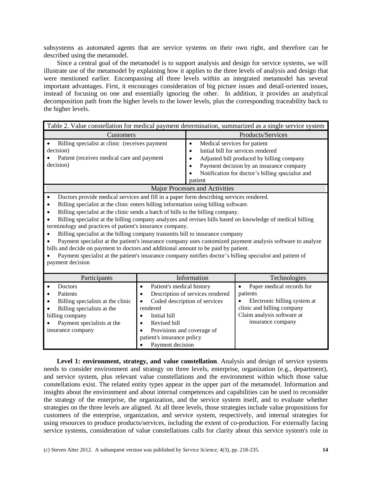subsystems as automated agents that are service systems on their own right, and therefore can be described using the metamodel.

Since a central goal of the metamodel is to support analysis and design for service systems, we will illustrate use of the metamodel by explaining how it applies to the three levels of analysis and design that were mentioned earlier. Encompassing all three levels within an integrated metamodel has several important advantages. First, it encourages consideration of big picture issues and detail-oriented issues, instead of focusing on one and essentially ignoring the other. In addition, it provides an analytical decomposition path from the higher levels to the lower levels, plus the corresponding traceability back to the higher levels.

| Table 2. Value constellation for medical payment determination, summarized as a single service system                                                                                                                                                                                                                                                                                                                                                                                                                                                                                                                                                                                                                                                                                                                                                                                                      |                                                                                                                                                                                              |                                                                                                                                                                                                                                                                   |                                                                                                                                                                     |  |  |  |
|------------------------------------------------------------------------------------------------------------------------------------------------------------------------------------------------------------------------------------------------------------------------------------------------------------------------------------------------------------------------------------------------------------------------------------------------------------------------------------------------------------------------------------------------------------------------------------------------------------------------------------------------------------------------------------------------------------------------------------------------------------------------------------------------------------------------------------------------------------------------------------------------------------|----------------------------------------------------------------------------------------------------------------------------------------------------------------------------------------------|-------------------------------------------------------------------------------------------------------------------------------------------------------------------------------------------------------------------------------------------------------------------|---------------------------------------------------------------------------------------------------------------------------------------------------------------------|--|--|--|
| Customers                                                                                                                                                                                                                                                                                                                                                                                                                                                                                                                                                                                                                                                                                                                                                                                                                                                                                                  |                                                                                                                                                                                              | Products/Services                                                                                                                                                                                                                                                 |                                                                                                                                                                     |  |  |  |
| Billing specialist at clinic (receives payment<br>$\bullet$<br>decision)<br>Patient (receives medical care and payment<br>decision)                                                                                                                                                                                                                                                                                                                                                                                                                                                                                                                                                                                                                                                                                                                                                                        |                                                                                                                                                                                              | Medical services for patient<br>$\bullet$<br>Initial bill for services rendered<br>$\bullet$<br>Adjusted bill produced by billing company<br>Payment decision by an insurance company<br>$\bullet$<br>Notification for doctor's billing specialist and<br>patient |                                                                                                                                                                     |  |  |  |
|                                                                                                                                                                                                                                                                                                                                                                                                                                                                                                                                                                                                                                                                                                                                                                                                                                                                                                            |                                                                                                                                                                                              | Major Processes and Activities                                                                                                                                                                                                                                    |                                                                                                                                                                     |  |  |  |
| Doctors provide medical services and fill in a paper form describing services rendered.<br>$\bullet$<br>Billing specialist at the clinic enters billing information using billing software.<br>$\bullet$<br>Billing specialist at the clinic sends a batch of bills to the billing company.<br>Billing specialist at the billing company analyzes and revises bills based on knowledge of medical billing<br>terminology and practices of patient's insurance company.<br>Billing specialist at the billing company transmits bill to insurance company<br>$\bullet$<br>Payment specialist at the patient's insurance company uses customized payment analysis software to analyze<br>bills and decide on payment to doctors and additional amount to be paid by patient.<br>Payment specialist at the patient's insurance company notifies doctor's billing specialist and patient of<br>payment decision |                                                                                                                                                                                              |                                                                                                                                                                                                                                                                   |                                                                                                                                                                     |  |  |  |
| Participants                                                                                                                                                                                                                                                                                                                                                                                                                                                                                                                                                                                                                                                                                                                                                                                                                                                                                               |                                                                                                                                                                                              | Information                                                                                                                                                                                                                                                       | Technologies                                                                                                                                                        |  |  |  |
| Doctors<br>Patients<br>Billing specialists at the clinic<br>Billing specialists at the<br>billing company<br>Payment specialists at the<br>insurance company                                                                                                                                                                                                                                                                                                                                                                                                                                                                                                                                                                                                                                                                                                                                               | Patient's medical history<br>$\bullet$<br>$\bullet$<br>rendered<br>Initial bill<br>$\bullet$<br>Revised bill<br>Provisions and coverage of<br>patient's insurance policy<br>Payment decision | Description of services rendered<br>Coded description of services                                                                                                                                                                                                 | Paper medical records for<br>$\bullet$<br>patients<br>Electronic billing system at<br>clinic and billing company<br>Claim analysis software at<br>insurance company |  |  |  |

**Level 1: environment, strategy, and value constellation**. Analysis and design of service systems needs to consider environment and strategy on three levels, enterprise, organization (e.g., department), and service system, plus relevant value constellations and the environment within which those value constellations exist. The related entity types appear in the upper part of the metamodel. Information and insights about the environment and about internal competences and capabilities can be used to reconsider the strategy of the enterprise, the organization, and the service system itself, and to evaluate whether strategies on the three levels are aligned. At all three levels, those strategies include value propositions for customers of the enterprise, organization, and service system, respectively, and internal strategies for using resources to produce products/services, including the extent of co-production. For externally facing service systems, consideration of value constellations calls for clarity about this service system's role in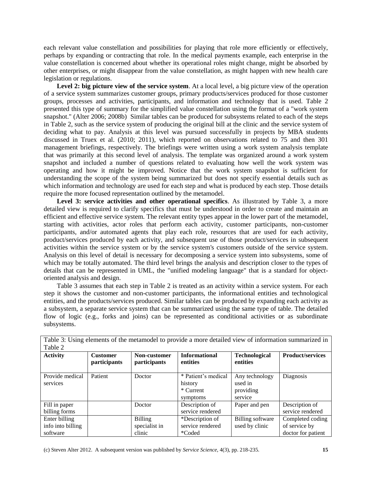each relevant value constellation and possibilities for playing that role more efficiently or effectively, perhaps by expanding or contracting that role. In the medical payments example, each enterprise in the value constellation is concerned about whether its operational roles might change, might be absorbed by other enterprises, or might disappear from the value constellation, as might happen with new health care legislation or regulations.

**Level 2: big picture view of the service system**. At a local level, a big picture view of the operation of a service system summarizes customer groups, primary products/services produced for those customer groups, processes and activities, participants, and information and technology that is used. Table 2 presented this type of summary for the simplified value constellation using the format of a "work system snapshot." (Alter 2006; 2008b) Similar tables can be produced for subsystems related to each of the steps in Table 2, such as the service system of producing the original bill at the clinic and the service system of deciding what to pay. Analysis at this level was pursued successfully in projects by MBA students discussed in Truex et al. (2010; 2011), which reported on observations related to 75 and then 301 management briefings, respectively. The briefings were written using a work system analysis template that was primarily at this second level of analysis. The template was organized around a work system snapshot and included a number of questions related to evaluating how well the work system was operating and how it might be improved. Notice that the work system snapshot is sufficient for understanding the scope of the system being summarized but does not specify essential details such as which information and technology are used for each step and what is produced by each step. Those details require the more focused representation outlined by the metamodel.

**Level 3: service activities and other operational specifics**. As illustrated by Table 3, a more detailed view is required to clarify specifics that must be understood in order to create and maintain an efficient and effective service system. The relevant entity types appear in the lower part of the metamodel, starting with activities, actor roles that perform each activity, customer participants, non-customer participants, and/or automated agents that play each role, resources that are used for each activity, product/services produced by each activity, and subsequent use of those product/services in subsequent activities within the service system or by the service system's customers outside of the service system. Analysis on this level of detail is necessary for decomposing a service system into subsystems, some of which may be totally automated. The third level brings the analysis and description closer to the types of details that can be represented in UML, the "unified modeling language" that is a standard for objectoriented analysis and design.

Table 3 assumes that each step in Table 2 is treated as an activity within a service system. For each step it shows the customer and non-customer participants, the informational entities and technological entities, and the products/services produced. Similar tables can be produced by expanding each activity as a subsystem, a separate service system that can be summarized using the same type of table. The detailed flow of logic (e.g., forks and joins) can be represented as conditional activities or as subordinate subsystems.

| Table 3: Using elements of the metamodel to provide a more detailed view of information summarized in<br>Table 2 |                                        |                                           |                                                         |                                                   |                                                         |  |  |  |
|------------------------------------------------------------------------------------------------------------------|----------------------------------------|-------------------------------------------|---------------------------------------------------------|---------------------------------------------------|---------------------------------------------------------|--|--|--|
| <b>Activity</b>                                                                                                  | <b>Customer</b><br><i>participants</i> | Non-customer<br><i>participants</i>       | <b>Informational</b><br>entities                        | <b>Technological</b><br>entities                  | <b>Product/services</b>                                 |  |  |  |
| Provide medical<br>services                                                                                      | Patient                                | Doctor                                    | * Patient's medical<br>history<br>* Current<br>symptoms | Any technology<br>used in<br>providing<br>service | Diagnosis                                               |  |  |  |
| Fill in paper<br>billing forms                                                                                   |                                        | Doctor                                    | Description of<br>service rendered                      | Paper and pen                                     | Description of<br>service rendered                      |  |  |  |
| Enter billing<br>info into billing<br>software                                                                   |                                        | <b>Billing</b><br>specialist in<br>clinic | *Description of<br>service rendered<br>*Coded           | Billing software<br>used by clinic                | Completed coding<br>of service by<br>doctor for patient |  |  |  |

Table 3: Using elements of the metamodel to provide a more detailed view of information summarized in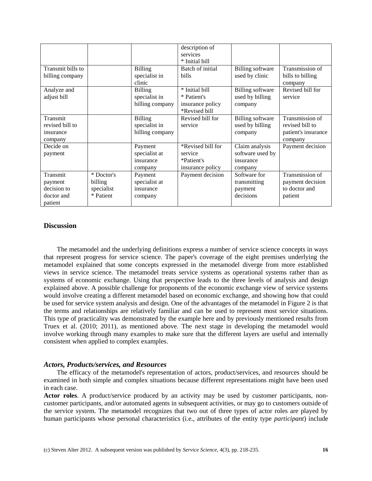|                   |            |                 | description of    |                         |                     |
|-------------------|------------|-----------------|-------------------|-------------------------|---------------------|
|                   |            |                 | services          |                         |                     |
|                   |            |                 | * Initial bill    |                         |                     |
| Transmit bills to |            | <b>Billing</b>  | Batch of initial  | <b>Billing software</b> | Transmission of     |
| billing company   |            | specialist in   | bills             | used by clinic          | bills to billing    |
|                   |            | clinic          |                   |                         | company             |
| Analyze and       |            | <b>Billing</b>  | * Initial bill    | <b>Billing software</b> | Revised bill for    |
| adjust bill       |            | specialist in   | * Patient's       | used by billing         | service             |
|                   |            | billing company | insurance policy  | company                 |                     |
|                   |            |                 | *Revised bill     |                         |                     |
| Transmit          |            | <b>Billing</b>  | Revised bill for  | <b>Billing software</b> | Transmission of     |
| revised bill to   |            | specialist in   | service           | used by billing         | revised bill to     |
| insurance         |            | billing company |                   | company                 | patient's insurance |
| company           |            |                 |                   |                         | company             |
| Decide on         |            | Payment         | *Revised bill for | Claim analysis          | Payment decision    |
| payment           |            | specialist at   | service           | software used by        |                     |
|                   |            | insurance       | *Patient's        | insurance               |                     |
|                   |            | company         | insurance policy  | company                 |                     |
| Transmit          | * Doctor's | Payment         | Payment decision  | Software for            | Transmission of     |
| payment           | billing    | specialist at   |                   | transmitting            | payment decision    |
| decision to       | specialist | insurance       |                   | payment                 | to doctor and       |
| doctor and        | * Patient  | company         |                   | decisions               | patient             |
| patient           |            |                 |                   |                         |                     |

#### **Discussion**

The metamodel and the underlying definitions express a number of service science concepts in ways that represent progress for service science. The paper's coverage of the eight premises underlying the metamodel explained that some concepts expressed in the metamodel diverge from more established views in service science. The metamodel treats service systems as operational systems rather than as systems of economic exchange. Using that perspective leads to the three levels of analysis and design explained above. A possible challenge for proponents of the economic exchange view of service systems would involve creating a different metamodel based on economic exchange, and showing how that could be used for service system analysis and design. One of the advantages of the metamodel in Figure 2 is that the terms and relationships are relatively familiar and can be used to represent most service situations. This type of practicality was demonstrated by the example here and by previously mentioned results from Truex et al. (2010; 2011), as mentioned above. The next stage in developing the metamodel would involve working through many examples to make sure that the different layers are useful and internally consistent when applied to complex examples.

#### *Actors, Products/services, and Resources*

The efficacy of the metamodel's representation of actors, product/services, and resources should be examined in both simple and complex situations because different representations might have been used in each case.

Actor roles. A product/service produced by an activity may be used by customer participants, noncustomer participants, and/or automated agents in subsequent activities, or may go to customers outside of the service system. The metamodel recognizes that two out of three types of actor roles are played by human participants whose personal characteristics (i.e., attributes of the entity type *participant*) include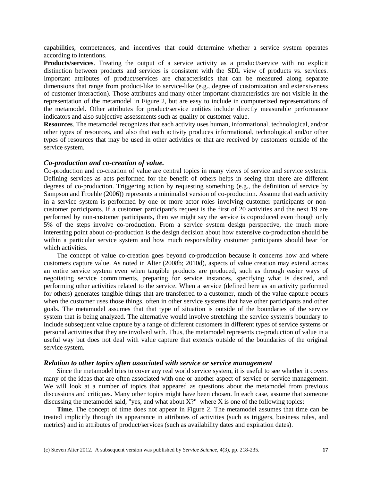capabilities, competences, and incentives that could determine whether a service system operates according to intentions.

**Products/services**. Treating the output of a service activity as a product/service with no explicit distinction between products and services is consistent with the SDL view of products vs. services. Important attributes of product/services are characteristics that can be measured along separate dimensions that range from product-like to service-like (e.g., degree of customization and extensiveness of customer interaction). Those attributes and many other important characteristics are not visible in the representation of the metamodel in Figure 2, but are easy to include in computerized representations of the metamodel. Other attributes for product/service entities include directly measurable performance indicators and also subjective assessments such as quality or customer value.

**Resources**. The metamodel recognizes that each activity uses human, informational, technological, and/or other types of resources, and also that each activity produces informational, technological and/or other types of resources that may be used in other activities or that are received by customers outside of the service system.

#### *Co-production and co-creation of value.*

Co-production and co-creation of value are central topics in many views of service and service systems. Defining services as acts performed for the benefit of others helps in seeing that there are different degrees of co-production. Triggering action by requesting something (e.g., the definition of service by Sampson and Froehle (2006)) represents a minimalist version of co-production. Assume that each activity in a service system is performed by one or more actor roles involving customer participants or noncustomer participants. If a customer participant's request is the first of 20 activities and the next 19 are performed by non-customer participants, then we might say the service is coproduced even though only 5% of the steps involve co-production. From a service system design perspective, the much more interesting point about co-production is the design decision about how extensive co-production should be within a particular service system and how much responsibility customer participants should bear for which activities.

The concept of value co-creation goes beyond co-production because it concerns how and where customers capture value. As noted in Alter (2008b; 2010d), aspects of value creation may extend across an entire service system even when tangible products are produced, such as through easier ways of negotiating service commitments, preparing for service instances, specifying what is desired, and performing other activities related to the service. When a service (defined here as an activity performed for others) generates tangible things that are transferred to a customer, much of the value capture occurs when the customer uses those things, often in other service systems that have other participants and other goals. The metamodel assumes that that type of situation is outside of the boundaries of the service system that is being analyzed. The alternative would involve stretching the service system's boundary to include subsequent value capture by a range of different customers in different types of service systems or personal activities that they are involved with. Thus, the metamodel represents co-production of value in a useful way but does not deal with value capture that extends outside of the boundaries of the original service system.

#### *Relation to other topics often associated with service or service management*

Since the metamodel tries to cover any real world service system, it is useful to see whether it covers many of the ideas that are often associated with one or another aspect of service or service management. We will look at a number of topics that appeared as questions about the metamodel from previous discussions and critiques. Many other topics might have been chosen. In each case, assume that someone discussing the metamodel said, "yes, and what about  $X$ ?" where  $X$  is one of the following topics:

**Time**. The concept of time does not appear in Figure 2. The metamodel assumes that time can be treated implicitly through its appearance in attributes of activities (such as triggers, business rules, and metrics) and in attributes of product/services (such as availability dates and expiration dates).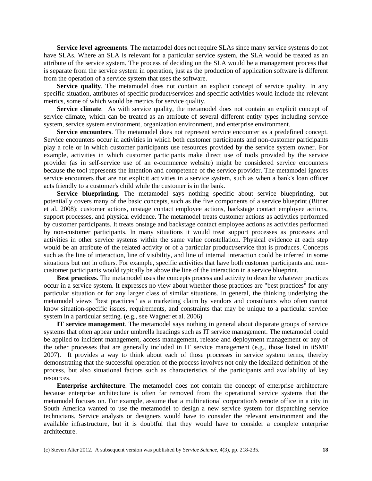**Service level agreements**. The metamodel does not require SLAs since many service systems do not have SLAs. Where an SLA is relevant for a particular service system, the SLA would be treated as an attribute of the service system. The process of deciding on the SLA would be a management process that is separate from the service system in operation, just as the production of application software is different from the operation of a service system that uses the software.

**Service quality**. The metamodel does not contain an explicit concept of service quality. In any specific situation, attributes of specific product/services and specific activities would include the relevant metrics, some of which would be metrics for service quality.

**Service climate**. As with service quality, the metamodel does not contain an explicit concept of service climate, which can be treated as an attribute of several different entity types including service system, service system environment, organization environment, and enterprise environment.

**Service encounters**. The metamodel does not represent service encounter as a predefined concept. Service encounters occur in activities in which both customer participants and non-customer participants play a role or in which customer participants use resources provided by the service system owner. For example, activities in which customer participants make direct use of tools provided by the service provider (as in self-service use of an e-commerce website) might be considered service encounters because the tool represents the intention and competence of the service provider. The metamodel ignores service encounters that are not explicit activities in a service system, such as when a bank's loan officer acts friendly to a customer's child while the customer is in the bank.

**Service blueprinting**. The metamodel says nothing specific about service blueprinting, but potentially covers many of the basic concepts, such as the five components of a service blueprint (Bitner et al. 2008): customer actions, onstage contact employee actions, backstage contact employee actions, support processes, and physical evidence. The metamodel treats customer actions as activities performed by customer participants. It treats onstage and backstage contact employee actions as activities performed by non-customer participants. In many situations it would treat support processes as processes and activities in other service systems within the same value constellation. Physical evidence at each step would be an attribute of the related activity or of a particular product/service that is produces. Concepts such as the line of interaction, line of visibility, and line of internal interaction could be inferred in some situations but not in others. For example, specific activities that have both customer participants and noncustomer participants would typically be above the line of the interaction in a service blueprint.

**Best practices**. The metamodel uses the concepts process and activity to describe whatever practices occur in a service system. It expresses no view about whether those practices are "best practices" for any particular situation or for any larger class of similar situations. In general, the thinking underlying the metamodel views "best practices" as a marketing claim by vendors and consultants who often cannot know situation-specific issues, requirements, and constraints that may be unique to a particular service system in a particular setting. (e.g., see Wagner et al. 2006)

**IT service management**. The metamodel says nothing in general about disparate groups of service systems that often appear under umbrella headings such as IT service management. The metamodel could be applied to incident management, access management, release and deployment management or any of the other processes that are generally included in IT service management (e.g., those listed in itSMF 2007). It provides a way to think about each of those processes in service system terms, thereby demonstrating that the successful operation of the process involves not only the idealized definition of the process, but also situational factors such as characteristics of the participants and availability of key resources.

**Enterprise architecture**. The metamodel does not contain the concept of enterprise architecture because enterprise architecture is often far removed from the operational service systems that the metamodel focuses on. For example, assume that a multinational corporation's remote office in a city in South America wanted to use the metamodel to design a new service system for dispatching service technicians. Service analysts or designers would have to consider the relevant environment and the available infrastructure, but it is doubtful that they would have to consider a complete enterprise architecture.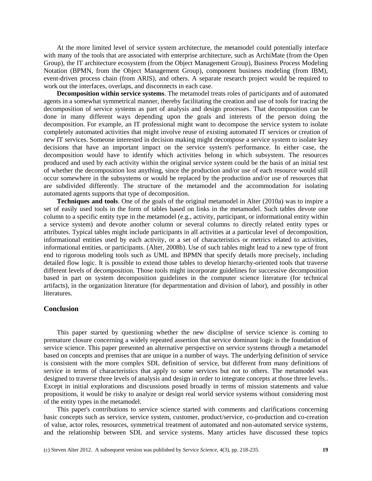At the more limited level of service system architecture, the metamodel could potentially interface with many of the tools that are associated with enterprise architecture, such as ArchiMate (from the Open Group), the IT architecture ecosystem (from the Object Management Group), Business Process Modeling Notation (BPMN, from the Object Management Group), component business modeling (from IBM), event-driven process chain (from ARIS), and others. A separate research project would be required to work out the interfaces, overlaps, and disconnects in each case.

**Decomposition within service systems**. The metamodel treats roles of participants and of automated agents in a somewhat symmetrical manner, thereby facilitating the creation and use of tools for tracing the decomposition of service systems as part of analysis and design processes. That decomposition can be done in many different ways depending upon the goals and interests of the person doing the decomposition. For example, an IT professional might want to decompose the service system to isolate completely automated activities that might involve reuse of existing automated IT services or creation of new IT services. Someone interested in decision making might decompose a service system to isolate key decisions that have an important impact on the service system's performance. In either case, the decomposition would have to identify which activities belong in which subsystem. The resources produced and used by each activity within the original service system could be the basis of an initial test of whether the decomposition lost anything, since the production and/or use of each resource would still occur somewhere in the subsystems or would be replaced by the production and/or use of resources that are subdivided differently. The structure of the metamodel and the accommodation for isolating automated agents supports that type of decomposition.

**Techniques and tools**. One of the goals of the original metamodel in Alter (2010a) was to inspire a set of easily used tools in the form of tables based on links in the metamodel. Such tables devote one column to a specific entity type in the metamodel (e.g., activity, participant, or informational entity within a service system) and devote another column or several columns to directly related entity types or attributes. Typical tables might include participants in all activities at a particular level of decomposition, informational entities used by each activity, or a set of characteristics or metrics related to activities, informational entities, or participants. (Alter, 2008b). Use of such tables might lead to a new type of front end to rigorous modeling tools such as UML and BPMN that specify details more precisely, including detailed flow logic. It is possible to extend those tables to develop hierarchy-oriented tools that traverse different levels of decomposition. Those tools might incorporate guidelines for successive decomposition based in part on system decomposition guidelines in the computer science literature (for technical artifacts), in the organization literature (for departmentation and division of labor), and possibly in other literatures.

#### **Conclusion**

This paper started by questioning whether the new discipline of service science is coming to premature closure concerning a widely repeated assertion that service dominant logic is the foundation of service science. This paper presented an alternative perspective on service systems through a metamodel based on concepts and premises that are unique in a number of ways. The underlying definition of service is consistent with the more complex SDL definition of service, but different from many definitions of service in terms of characteristics that apply to some services but not to others. The metamodel was designed to traverse three levels of analysis and design in order to integrate concepts at those three levels.. Except in initial explorations and discussions posed broadly in terms of mission statements and value propositions, it would be risky to analyze or design real world service systems without considering most of the entity types in the metamodel.

This paper's contributions to service science started with comments and clarifications concerning basic concepts such as service, service system, customer, product/service, co-production and co-creation of value, actor roles, resources, symmetrical treatment of automated and non-automated service systems, and the relationship between SDL and service systems. Many articles have discussed these topics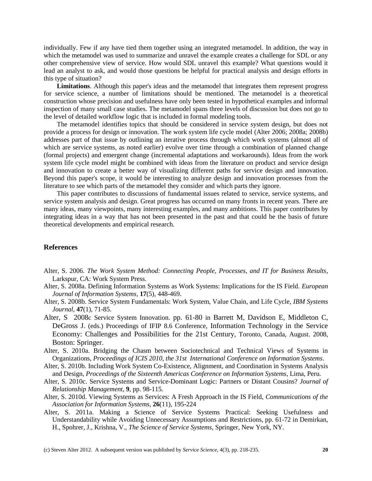individually. Few if any have tied them together using an integrated metamodel. In addition, the way in which the metamodel was used to summarize and unravel the example creates a challenge for SDL or any other comprehensive view of service. How would SDL unravel this example? What questions would it lead an analyst to ask, and would those questions be helpful for practical analysis and design efforts in this type of situation?

**Limitations**. Although this paper's ideas and the metamodel that integrates them represent progress for service science, a number of limitations should be mentioned. The metamodel is a theoretical construction whose precision and usefulness have only been tested in hypothetical examples and informal inspection of many small case studies. The metamodel spans three levels of discussion but does not go to the level of detailed workflow logic that is included in formal modeling tools.

The metamodel identifies topics that should be considered in service system design, but does not provide a process for design or innovation. The work system life cycle model (Alter 2006; 2008a; 2008b) addresses part of that issue by outlining an iterative process through which work systems (almost all of which are service systems, as noted earlier) evolve over time through a combination of planned change (formal projects) and emergent change (incremental adaptations and workarounds). Ideas from the work system life cycle model might be combined with ideas from the literature on product and service design and innovation to create a better way of visualizing different paths for service design and innovation. Beyond this paper's scope, it would be interesting to analyze design and innovation processes from the literature to see which parts of the metamodel they consider and which parts they ignore.

This paper contributes to discussions of fundamental issues related to service, service systems, and service system analysis and design. Great progress has occurred on many fronts in recent years. There are many ideas, many viewpoints, many interesting examples, and many ambitions. This paper contributes by integrating ideas in a way that has not been presented in the past and that could be the basis of future theoretical developments and empirical research.

## **References**

- Alter, S. 2006. *The Work System Method: Connecting People, Processes, and IT for Business Results*, Larkspur, CA: Work System Press.
- Alter, S. 2008a. Defining Information Systems as Work Systems: Implications for the IS Field. *European Journal of Information Systems,* **17**(5), 448-469.
- Alter, S. 2008b. Service System Fundamentals: Work System, Value Chain, and Life Cycle, *IBM Systems Journal*, **47**(1), 71-85.
- Alter, S 2008c Service System Innovation. pp. 61-80 in Barrett M, Davidson E, Middleton C, DeGross J. (eds.) Proceedings of IFIP 8.6 Conference, Information Technology in the Service Economy: Challenges and Possibilities for the 21st Century, Toronto, Canada, August. 2008, Boston: Springer.
- Alter, S. 2010a. Bridging the Chasm between Sociotechnical and Technical Views of Systems in Organizations, *Proceedings of ICIS 2010, the 31st International Conference on Information Systems*.
- Alter, S. 2010b. Including Work System Co-Existence, Alignment, and Coordination in Systems Analysis and Design, *Proceedings of the Sixteenth Americas Conference on Information Systems*, Lima, Peru.
- Alter, S. 2010c. Service Systems and Service-Dominant Logic: Partners or Distant Cousins? *Journal of Relationship Management*, **9**, pp. 98-115.
- Alter, S. 2010d. Viewing Systems as Services: A Fresh Approach in the IS Field, *Communications of the Association for Information Systems*, **26**(11), 195-224
- Alter, S. 2011a. Making a Science of Service Systems Practical: Seeking Usefulness and Understandability while Avoiding Unnecessary Assumptions and Restrictions, pp. 61-72 in Demirkan, H., Spohrer, J., Krishna, V., *The Science of Service Systems*, Springer, New York, NY.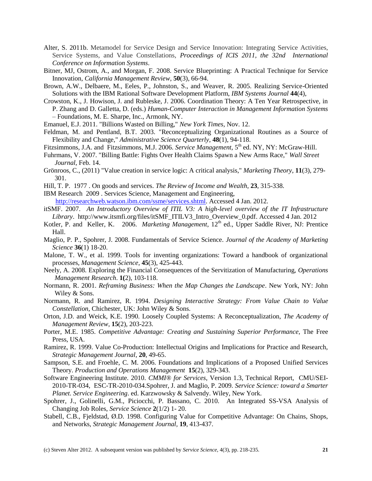- Alter, S. 2011b. Metamodel for Service Design and Service Innovation: Integrating Service Activities, Service Systems, and Value Constellations, *Proceedings of ICIS 2011, the 32nd International Conference on Information Systems*.
- Bitner, MJ, Ostrom, A., and Morgan, F. 2008. Service Blueprinting: A Practical Technique for Service Innovation, *California Management Review*, **50**(3), 66-94.
- Brown, A.W., Delbaere, M., Eeles, P., Johnston, S., and Weaver, R. 2005. Realizing Service-Oriented Solutions with the IBM Rational Software Development Platform, *IBM Systems Journal* **44**(4),
- Crowston, K., J. Howison, J. and Rubleske, J. 2006. Coordination Theory: A Ten Year Retrospective, in P. Zhang and D. Galletta, D. (eds.) *Human-Computer Interaction in Management Information Systems* – Foundations, M. E. Sharpe, Inc., Armonk, NY.
- Emanuel, E.J. 2011. "Billions Wasted on Billing," *New York Times*, Nov. 12.
- Feldman, M. and Pentland, B.T. 2003. "Reconceptualizing Organizational Routines as a Source of Flexibility and Change," *Administrative Science Quarterly*, **48**(1), 94-118.
- Fitzsimmons, J.A. and Fitzsimmons, M.J. 2006. *Service Management*, 5<sup>th</sup> ed. NY, NY: McGraw-Hill.
- Fuhrmans, V. 2007. "Billing Battle: Fights Over Health Claims Spawn a New Arms Race," *Wall Street Journal*, Feb. 14.
- Grönroos, C., (2011) "Value creation in service logic: A critical analysis," *Marketing Theory*, **11**(3), 279- 301.
- Hill, T. P. 1977 . On goods and services. *The Review of Income and Wealth*, **23**, 315-338.
- IBM Research 2009 . Services Science, Management and Engineering,

[http://researchweb.watson.ibm.com/ssme/services.shtml.](http://researchweb.watson.ibm.com/ssme/services.shtml) Accessed 4 Jan. 2012.

- itSMF. 2007. *An Introductory Overview of ITIL V3: A high-level overview of the IT Infrastructure Library*. http://www.itsmfi.org/files/itSMF\_ITILV3\_Intro\_Overview\_0.pdf. Accessed 4 Jan. 2012
- Kotler, P. and Keller, K. 2006. *Marketing Management*, 12<sup>th</sup> ed., Upper Saddle River, NJ: Prentice Hall.
- Maglio, P. P., Spohrer, J. 2008. Fundamentals of Service Science. *Journal of the Academy of Marketing Science* **36**(1) 18-20.
- Malone, T. W., et al. 1999. Tools for inventing organizations: Toward a handbook of organizational processes, *Management Science*, **45**(3), 425-443.
- Neely, A. 2008. Exploring the Financial Consequences of the Servitization of Manufacturing, *Operations Management Research*. **1(**2), 103-118.
- Normann, R. 2001. *Reframing Business: When the Map Changes the Landscape*. New York, NY: John Wiley & Sons.
- Normann, R. and Ramirez, R. 1994. *Designing Interactive Strategy: From Value Chain to Value Constellation*, Chichester, UK: John Wiley & Sons.
- Orton, J.D. and Weick, K.E. 1990. Loosely Coupled Systems: A Reconceptualization, *The Academy of Management Review,* **15**(2), 203-223.
- Porter, M.E. 1985. *Competitive Advantage: Creating and Sustaining Superior Performance,* The Free Press, USA.
- Ramirez, R. 1999. Value Co-Production: Intellectual Origins and Implications for Practice and Research, *Strategic Management Journal*, **20**, 49-65.
- Sampson, S.E. and Froehle, C. M. 2006. Foundations and Implications of a Proposed Unified Services Theory. *Production and Operations Management* **15**(2), 329-343.
- Software Engineering Institute. 2010. *CMMI® for Services*, Version 1.3, Technical Report, CMU/SEI-2010-TR-034, ESC-TR-2010-034.Spohrer, J. and Maglio, P. 2009. *Service Science: toward a Smarter Planet. Service Engineering*. ed. Karzwowsky & Salvendy. Wiley, New York.
- Spohrer, J., Golinelli, G.M., Piciocchi, P. Bassano, C. 2010. An Integrated SS-VSA Analysis of Changing Job Roles, *Service Science* **2**(1/2) 1- 20.
- Stabell, C.B., Fjeldstad, Ø.D. 1998. Configuring Value for Competitive Advantage: On Chains, Shops, and Networks, *Strategic Management Journal,* **19**, 413-437.